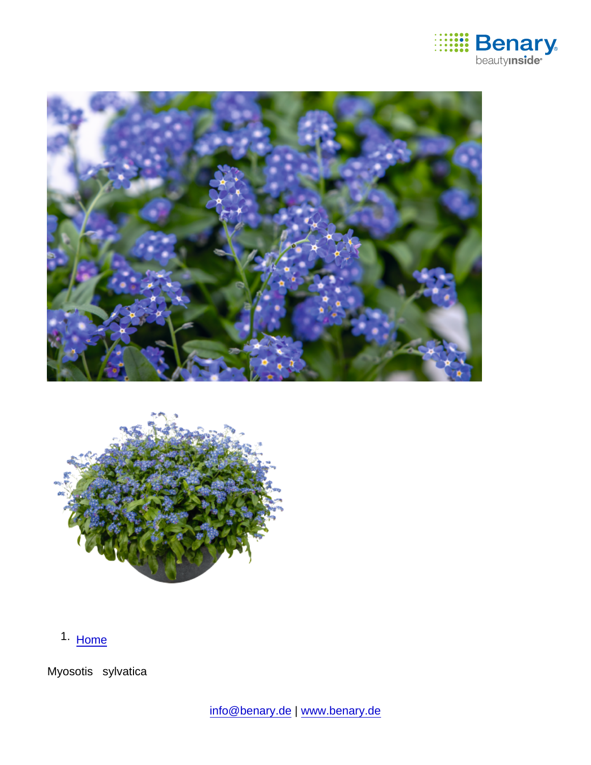

1. [Home](https://www.benary.com/)

Myosotis sylvatica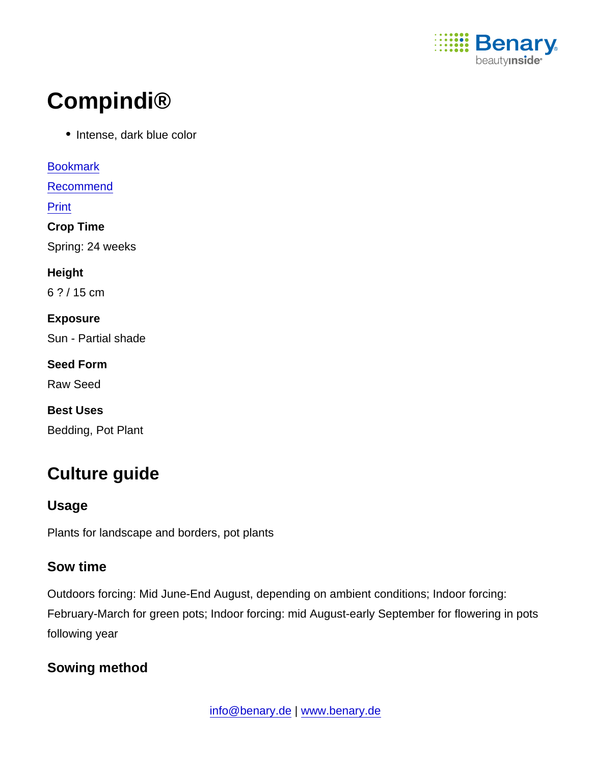

# Compindi®

• Intense, dark blue color

[Bookmark](https://www.benary.com/flag/flag/product/6045?destination&token=lYe69rAo7k6OzFguS_hxJYIkVk4XnZfE-oxajXHD4XQ) [Recommend](mailto:?subject=Benary Myosotis sylvatica &body=https://www.benary.com/print/pdf/node/6045) Print Crop Time Spring: 24 weeks Height 6 ? / 15 cm Exposure Sun - Partial shade Seed Form Raw Seed Best Uses Bedding, Pot Plant

## Culture guide

Usage

Plants for landscape and borders, pot plants

#### Sow time

Outdoors forcing: Mid June-End August, depending on ambient conditions; Indoor forcing: February-March for green pots; Indoor forcing: mid August-early September for flowering in pots following year

Sowing method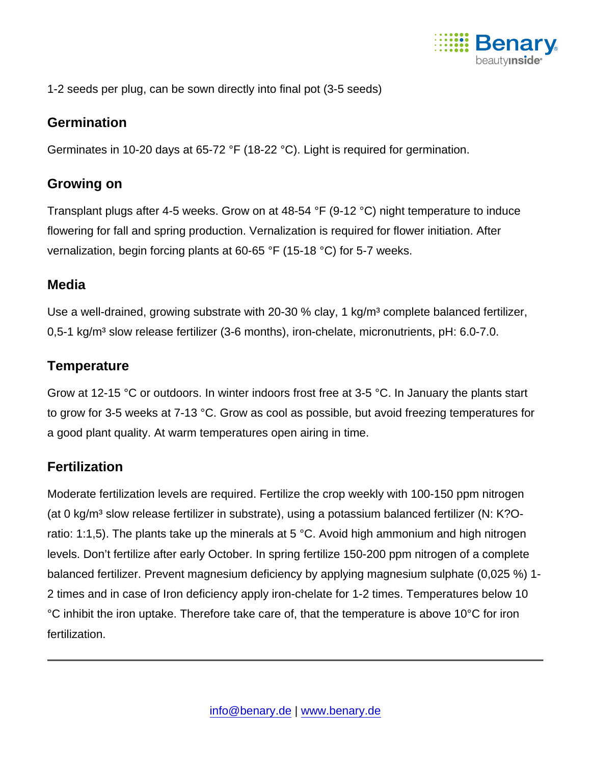

1-2 seeds per plug, can be sown directly into final pot (3-5 seeds)

#### **Germination**

Germinates in 10-20 days at 65-72 °F (18-22 °C). Light is required for germination.

#### Growing on

Transplant plugs after 4-5 weeks. Grow on at 48-54 °F (9-12 °C) night temperature to induce flowering for fall and spring production. Vernalization is required for flower initiation. After vernalization, begin forcing plants at 60-65 °F (15-18 °C) for 5-7 weeks.

#### **Media**

Use a well-drained, growing substrate with 20-30 % clay, 1 kg/m<sup>3</sup> complete balanced fertilizer, 0,5-1 kg/m<sup>3</sup> slow release fertilizer (3-6 months), iron-chelate, micronutrients, pH:  $6.0$ -7.0.

### **Temperature**

Grow at 12-15 °C or outdoors. In winter indoors frost free at 3-5 °C. In January the plants start to grow for 3-5 weeks at 7-13 °C. Grow as cool as possible, but avoid freezing temperatures for a good plant quality. At warm temperatures open airing in time.

### **Fertilization**

Moderate fertilization levels are required. Fertilize the crop weekly with 100-150 ppm nitrogen (at 0 kg/m<sup>3</sup> slow release fertilizer in substrate), using a potassium balanced fertilizer (N: K?Oratio: 1:1,5). The plants take up the minerals at 5 °C. Avoid high ammonium and high nitrogen levels. Don't fertilize after early October. In spring fertilize 150-200 ppm nitrogen of a complete balanced fertilizer. Prevent magnesium deficiency by applying magnesium sulphate (0,025 %) 1- 2 times and in case of Iron deficiency apply iron-chelate for 1-2 times. Temperatures below 10 °C inhibit the iron uptake. Therefore take care of, that the temperature is above 10°C for iron fertilization.